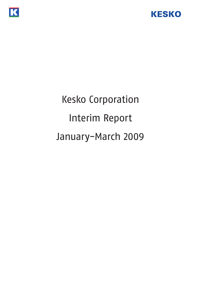

# Kesko Corporation Interim Report January-March 2009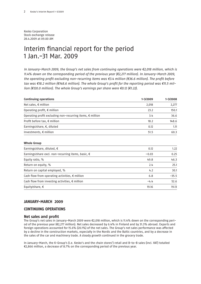Kesko Corporation Stock exchange release 28.4.2009 at 09.00 AM

## Interim financial report for the period 1 Jan.-31 Mar. 2009

In January-March 2009, the Group's net sales from continuing operations were €2,018 million, which is 11.4% down on the corresponding period of the previous year (€2,277 million). In January-March 2009, the operating profit excluding non-recurring items was €3.4 million (€36.6 million). The profit before tax was €18.2 million (€148.6 million). The whole Group's profit for the reporting period was €11.5 million (€120.0 million). The whole Group's earnings per share were €0.12 (€1.22).

| <b>Continuing operations</b>                                       | 1-3/2009 | 1-3/2008 |
|--------------------------------------------------------------------|----------|----------|
| Net sales, $\epsilon$ million                                      | 2,018    | 2,277    |
| Operating profit, $\epsilon$ million                               | 23.2     | 150.1    |
| Operating profit excluding non-recurring items, $\epsilon$ million | 3.4      | 36.6     |
| Profit before tax, € million                                       | 18.2     | 148.6    |
| Earnings/share, $\epsilon$ , diluted                               | 0.12     | 1.11     |
| Investments, $\epsilon$ million                                    | 51.5     | 60.3     |

#### **Whole Group**

| Earnings/share, diluted, $\epsilon$                         | 0.12    | 1.22    |
|-------------------------------------------------------------|---------|---------|
| Earnings/share excl. non-recurring items, basic, $\epsilon$ | $-0.03$ | 0.25    |
| Equity ratio, %                                             | 49.8    | 46.3    |
| Return on equity, %                                         | 2.4     | 25.1    |
| Return on capital employed, %                               | 4.2     | 30.1    |
| Cash flow from operating activities, $\epsilon$ million     | 6.8     | $-35.5$ |
| Cash flow from investing activities, $\epsilon$ million     | $-4.4$  | 52.6    |
| Equity/share, $\epsilon$                                    | 19.16   | 19.13   |

#### **JANUARY-MARCH 2009**

#### **CONTINUING OPERATIONS**

#### **Net sales and profit**

The Group's net sales in January-March 2009 were €2,018 million, which is 11.4% down on the corresponding period of the previous year (€2,277 million). Net sales decreased by 6.4% in Finland and by 31.3% abroad. Exports and foreign operations accounted for 15.6% (20.1%) of the net sales. The Group's net sales performance was affected by a decline in the construction markets, especially in the Nordic and the Baltic countries, and by a decrease in the sales of the car and machinery trade. A steady growth continued in the grocery trade.

In January-March, the K-Group's (i.e. Kesko's and the chain stores') retail and B-to-B sales (incl. VAT) totalled €2,866 million, a decrease of 8.7% on the corresponding period of the previous year.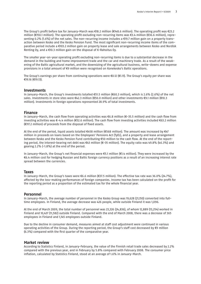The Group's profit before tax for January-March was €18.2 million (€148.6 million). The operating profit was €23.2 million (€150.1 million). The operating profit excluding non-recurring items was €3.4 million (€36.6 million), representing 0.2% (1.6%) of the net sales. The non-recurring income includes a €19.7 million gain on a property transaction between Kesko and the Kesko Pension Fund. The most significant non-recurring income items of the comparative period include a €103.2 million gain on property lease and sale arrangements between Kesko and Nordisk Renting Oy, and a €10.3 million gain on the disposal of K-Rahoitus Oy.

The smaller year-on-year operating profit excluding non-recurring items is due to a substantial decrease in the demand in the building and home improvement trade and the car and machinery trade. As a result of the weakening of the Baltic agricultural market, and the downsizing of the agricultural business, write-downs and expense provisions in a total amount of €9 million were recognised on Konekesko's Baltic operations.

The Group's earnings per share from continuing operations were €0.12 (€1.11). The Group's equity per share was €19.16 (€19.13).

#### **Investments**

In January-March, the Group's investments totalled €51.5 million (€60.3 million), which is 2.6% (2.6%) of the net sales. Investments in store sites were €42.3 million (€50.0 million) and other investments €9.1 million (€10.3 million). Investments in foreign operations represented 28.9% of total investments.

#### **Finance**

In January-March, the cash flow from operating activities was €6.8 million (€-35.5 million) and the cash flow from investing activities was €-4.4 million (€52.6 million). The cash flow from investing activities included €63.2 million (€117.2 million) of proceeds from the disposal of fixed assets.

At the end of the period, liquid assets totalled €458 million (€568 million). The amount was increased by €47 million in proceeds on loans based on the Employees' Pensions Act (TyEL), and a property and lease arrangement between Kesko and the Kesko Pension Fund contributing €50 million to the cash flow. At the end of the reporting period, the interest-bearing net debt was €43 million (€-35 million). The equity ratio was 49.8% (46.3%) and gearing 2.2% (-1.8%) at the end of the period.

In January-March, the Group's net financial expenses were €5.1 million (€1.4 million). They were increased by the €6.4 million cost for hedging Russian and Baltic foreign currency positions as a result of an increasing interest rate spread between the currencies.

#### **Taxes**

In January-March, the Group's taxes were €6.6 million (€37.5 million). The effective tax rate was 36.0% (24.7%), affected by the loss-making performances of foreign companies. Income tax has been calculated on the profit for the reporting period as a proportion of the estimated tax for the whole financial year.

#### **Personnel**

In January-March, the average number of personnel in the Kesko Group was 19,628 (21,150) converted into fulltime employees. In Finland, the average decrease was 426 people, while outside Finland it was 1,096.

At the end of March 2009, the total number of personnel was 23,326 (24,836), of whom 12,889 (13,254) worked in Finland and 10,437 (11,582) outside Finland. Compared with the end of March 2008, there was a decrease of 365 employees in Finland and 1,145 employees outside Finland.

Due to the decline in consumer demand, measures aimed at staff cost adjustment were continued in various operating activities of the Group. During the reporting period, the Group's staff cost decreased by €9 million (6.3%) compared with the first quarter of the comparative year.

#### **Market review**

According to Statistics Finland, in January-February, the value of the Finnish retail trade sales decreased by 2.2% compared with the previous year, and in February by 5.8% compared with February 2008. The consumer price inflation, calculated by Statistics Finland, stood at an average of 1.6% in January-March.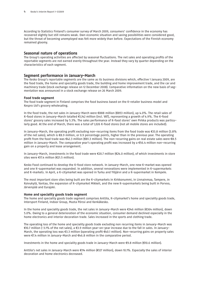According to Statistics Finland's consumer survey of March 2009, consumers' confidence in the economy has recovered slightly but still remains weak. Own economic situation and saving possibilities were considered good, but the threat of becoming unemployed was felt more widely than before. Expectations of the Finnish economy remained gloomy.

#### **Seasonal nature of operations**

The Group's operating activities are affected by seasonal fluctuations. The net sales and operating profits of the reportable segments are not earned evenly throughout the year. Instead they vary by quarter depending on the characteristics of each segment.

#### **Segment performance in January-March**

The Kesko Group's reportable segments are the same as its business divisions which, effective 1 January 2009, are the food trade, the home and speciality goods trade, the building and home improvement trade, and the car and machinery trade (stock exchange release on 12 December 2008). Comparative information on the new basis of segmentation was announced in a stock exchange release on 26 March 2009.

#### **Food trade segment**

The food trade segment in Finland comprises the food business based on the K-retailer business model and Kespro Ltd's grocery wholesaling.

In the food trade, the net sales in January-March were €888 million (€853 million), up 4.0%. The retail sales of K-food stores in January-March totalled €1,142 million (incl. VAT), representing a growth of 4.9%. The K-food stores' grocery sales increased by 5.3%. The sales performance of K-food stores' own Pirkka products was particularly good. At the end of March, there was a total of 1,026 K-food stores (not all mobile stores are included).

In January-March, the operating profit excluding non-recurring items from the food trade was €33.8 million (3.8% of the net sales), which is €8.9 million, or 0.9 percentage points, higher than in the previous year. The operating profit from the food trade was €42.3 million (€81.3 million). The non-recurring gains on real estate sales were €8.5 million in January-March. The comparative year's operating profit was increased by a €56.4 million non-recurring gain on a property and lease arrangement.

In January-March, investments in the food trade were €20.7 million (€24.0 million), of which investments in store sites were €17.4 million (€21.5 million).

Kesko Food continued to develop the K-food store network. In January-March, one new K-market was opened and one K-supermarket was expanded. In addition, several renovations were implemented in K-supermarkets and K-markets. In April, a K-citymarket was opened in Turku and Ylöjärvi and a K-supermarket in Kempele.

The most important store sites being built are the K-citymarkets in Kirkkonummi, in Linnainmaa, Tampere, in Koivukylä, Vantaa, the expansion of K-citymarket Mikkeli, and the new K-supermarkets being built in Porvoo, Järvenpää and Eurajoki.

#### **Home and speciality goods trade segment**

The home and speciality goods trade segment comprises Anttila, K-citymarket's home and speciality goods trade, Intersport Finland, Indoor Group, Musta Pörssi and Kenkäkesko.

In the home and speciality goods trade, the net sales in January-March were €346 million (€364 million), down 5.0%. Owing to a general deterioration of the economic situation, consumer demand declined especially in the home electronics and interior decoration trade. Sales increased in the sports and clothing trade.

The operating loss of the home and speciality goods trade excluding non recurring items in January-March was €10.7 million (-3.1% of the net sales), a €3.9 million year-on-year increase due to the fall in sales. In January-March, the operating loss was €3.3 million (operating profit €40.1 million). Non-recurring gains on property sales were €7.4 million in January-March and €46.8 million in the comparative period.

Investments in the home and speciality goods trade in January-March were €9.8 million (€10.6 million).

Anttila's net sales in January-March were €114 million (€127 million), down 10.1%. Especially the sales of interior decoration and home electronics decreased.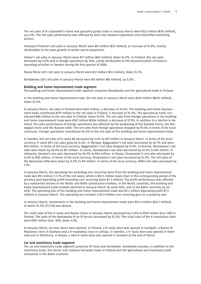The net sales of K-citymarket's home and speciality goods trade in January-March were €123 million (€116 million), up 6.1%. The net sales performance was affected by store site network expansions and intensified marketing actions.

Intersport Finland's net sales in January-March were €41 million (€37 million), an increase of 12.0%, mainly attributable to the sales growth of winter sports equipment.

Indoor's net sales in January-March were €37 million (€45 million), down 16.9%. In Finland, the net sales decreased by 9.0% and in foreign operations by 56%, partly attributable to the discontinuation of Indoor's operating activities in Sweden during the first quarter of 2008.

Musta Pörssi Ltd's net sales in January-March were €22 million (€32 million), down 31.2%.

Kenkäkesko Ltd's net sales in January-March were €8 million (€8 million), up 5.0%.

#### **Building and home improvement trade segment**

The building and home improvement trade segment comprises Rautakesko and the agricultural trade in Finland.

In the building and home improvement trade, the net sales in January-March were €529 million (€695 million), down 23.9%.

In January-March, net sales in Finland were €262 million, a decrease of 20.4%. The building and home improvement trade contributed €175 million to the net sales in Finland, a decrease of 24.5%. The agricultural trade contributed €88 million to the net sales in Finland, down 10.5%. The net sales from foreign operations in the building and home improvement trade were €267 million (€366 million), a decrease of 27.1%. In addition to a decline in demand, the sales performance of foreign operations was affected by the weakening of the Swedish krona, the Norwegian krone and the Russian ruble. The net sales from foreign operations dropped by 19.4% in terms of the local currencies. Foreign operations contributed 50.4% to the net sales of the building and home improvement trade.

In Sweden, the net sales of K-rauta AB decreased by 3.4% to €37 million in January-March. In terms of the local currency, K-rauta AB's net sales grew by 12.4%. In Norway, Byggmakker's net sales decreased by 26.7% and were €95 million. In terms of the local currency, Byggmakker's net sales dropped by 17.6%. In Estonia, Rautakesko's net sales were down by 28.9% to €12 million. In Latvia, Rautakesko's net sales decreased by 43.6% to €10 million. In Lithuania, Senukai's net sales decreased by 38.9% to €60 million. In Russia, Stroymaster's net sales decreased by 6.4% to €38 million. In terms of the local currency, Stroymaster's net sales increased by 14.5%. The net sales of the Belarusian OMA were down by 11.9% to €11 million. In terms of the local currency, OMA's net sales decreased by 1.1%.

In January-March, the operating loss excluding non-recurring items from the building and home improvement trade was €9.1 million (-1.7% of the net sales), which is €16.5 million lower than in the corresponding period of the previous year (operating profit excluding non-recurring items €7.3 million). The profit performance was affected by a substantial decline in the Nordic and Baltic construction markets. In the Nordic countries, the building and home improvement trade markets declined in January-March by some 20%, and in the Baltic countries by 30- 40%. The operating loss of the building and home improvement trade was €5.2 million (operating profit €7.3 million) in January-March. The operating loss includes a €3.9 million non-recurring gain on a property sale.

In January-March, investments in the building and home improvement trade were €19.5 million (€22.7 million), of which 74.3% (73.2%) was abroad.

The retail sales of the K-rauta and Rautia chains in January-March decreased by 11.8% to €192 million (incl. VAT) in Finland. The sales of the Rautakesko B-to-B Service decreased by 35.3%. The retail sales of the K-maatalous chain were €105 million (incl. VAT), down 9.1%.

In January-March, six new stores were opened. In Finland, a K-rauta store was opened in Seinäjoki, a Rautia-K-Maatalous store in Kauhava and a K-maatalous store in Lohtaja. In Sweden, a K-rauta store was opened in Halmstad and in Eskilstuna. In Russia, a new K-rauta store was opened in Jaroslavl at the end of March.

#### **Car and machinery trade segment**

The car and machinery trade segment comprises VV-Auto and Konekesko. Konekesko includes, in addition to the machinery trade, the tractor and combine harvester trade in Finland and the agricultural and machinery trade companies in the Baltic countries.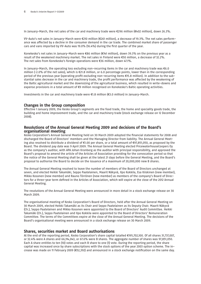In January-March, the net sales of the car and machinery trade were €296 million (€402 million), down 26.3%.

VV-Auto's net sales in January-March were €210 million (€261 million), a decrease of 19.3%. The net sales performance was affected by a decline in the consumer demand in the car trade. The combined market share of passenger cars and vans imported by VV-Auto was 19.0% (16.4%) during the first quarter of the year.

Konekesko's net sales in January-March were €86 million (€141 million), down 39.3% on the previous year as a result of the weakened machinery market. The net sales in Finland were €50 million, a decrease of 32.2%. The net sales from Konekesko's foreign operations were €36 million, down 47.1%.

In January-March, the operating loss excluding non-recurring items in the car and machinery trade was €6.0 million (-2.0% of the net sales), which is €21.8 million, or 6.0 percentage points, lower than in the corresponding period of the previous year (operating profit excluding non-recurring items €15.8 million). In addition to the substantial sales decrease in the car and machinery trade, the profit performance was affected by the weakening of the Baltic agricultural market and the downsizing of the agricultural business, which resulted in write-downs and expense provisions in a total amount of €9 million recognised on Konekesko's Baltic operating activities.

Investments in the car and machinery trade were €1.8 million (€3.0 million) in January-March.

#### **Changes in the Group composition**

Effective 1 January 2009, the Kesko Group's segments are the food trade, the home and speciality goods trade, the building and home improvement trade, and the car and machinery trade (stock exchange release on 12 December 2008).

### **Resolutions of the Annual General Meeting 2009 and decisions of the Board's organisational meeting**

Kesko Corporation's Annual General Meeting held on 30 March 2009 adopted the financial statements for 2008 and discharged the Board of Directors' members and the Managing Director from liability. The Annual General Meeting also resolved to distribute a dividend of €1.00 per share, or a total amount of €97,851,050, as proposed by the Board. The dividend pay date was 9 April 2009. The Annual General Meeting elected PricewaterhouseCoopers Oy as the company's auditor, with APA Johan Kronberg as the auditor with principal responsibility, and approved the Board's proposal to amend the article of the Articles of Association providing for the convocation period so that the notice of the General Meeting shall be given at the latest 21 days before the General Meeting, and the Board's proposal to authorise the Board to decide on the issuance of a maximum of 20,000,000 new B shares.

The Annual General Meeting resolved to leave the number of members of the Board of Directors unchanged at seven, and elected Heikki Takamäki, Seppo Paatelainen, Maarit Näkyvä, Ilpo Kokkila, Esa Kiiskinen (new member), Mikko Kosonen (new member) and Rauno Törrönen (new member) as members of the company's Board of Directors for a three-year term defined in the Articles of Association, which will expire at the close of the 2012 Annual General Meeting.

The resolutions of the Annual General Meeting were announced in more detail in a stock exchange release on 30 March 2009.

The organisational meeting of Kesko Corporation's Board of Directors, held after the Annual General Meeting on 30 March 2009, elected Heikki Takamäki as its Chair and Seppo Paatelainen as its Deputy Chair. Maarit Näkyvä (Ch.), Seppo Paatelainen and Mikko Kosonen were appointed to the Board of Directors' Audit Committee. Heikki Takamäki (Ch.), Seppo Paatelainen and Ilpo Kokkila were appointed to the Board of Directors' Remuneration Committee. The terms of the Committees expire at the close of the Annual General Meeting. The decisions of the Board's organisational meeting were announced in a stock exchange release on 30 March 2009.

#### **Shares, securities market and Board authorisations**

At the end of the reporting period, Kesko Corporation's share capital totalled €195,702,100. Of all shares 31,737,007, or 32.4% were A shares and 66,114,043, or 67.6% were B shares. The aggregate number of shares was 97,851,050. Each A share entitles to ten (10) votes and each B share to one (1) vote. During the reporting period, the share capital was increased once by share subscriptions with the stock options of the year 2003 option scheme. The increase was made on 11 February 2009 (€52,392) and announced in a stock exchange notification on the same day.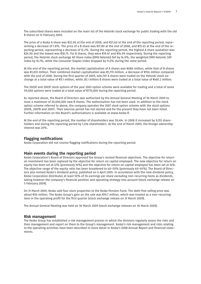The subscribed shares were included on the main list of the Helsinki stock exchange for public trading with the old B shares on 12 February 2009.

The price of a Kesko A share was €22.00 at the end of 2008, and €21.60 at the end of the reporting period, representing a decrease of 1.8%. The price of a B share was €17.80 at the end of 2008, and €15.63 at the end of the reporting period, representing a decrease of 12.2%. During the reporting period, the highest A share quotation was €24.90 and the lowest was €18.75. For B shares, they were €19.47 and €14.99 respectively. During the reporting period, the Helsinki stock exchange All Share index (OMX Helsinki) fell by 14.9%, the weighted OMX Helsinki CAP index by 16.1%, while the Consumer Staples Index dropped by 11.0% during the same period.

At the end of the reporting period, the market capitalisation of A shares was €686 million, while that of B shares was €1,033 million. Their combined market capitalisation was €1,719 million, a decrease of €156 million compared with the end of 2008. During the first quarter of 2009, 406,797 A shares were traded on the Helsinki stock exchange at a total value of €9.1 million, while 28.1 million B shares were traded at a total value of €481.2 million.

The 2003E and 2003F stock options of the year 2003 option scheme were available for trading and a total of some 99,000 options were traded at a total value of €770,000 during the reporting period.

As reported above, the Board of Directors was authorised by the Annual General Meeting of 30 March 2009 to issue a maximum of 20,000,000 new B shares. The authorisation has not been used. In addition to the stock option scheme referred to above, the company operates the 2007 stock option scheme with the stock options 2007A, 2007B and 2007C. Their exercise period has not started and for the present they have not been listed. Further information on the Board's authorisations is available at www.kesko.fi.

At the end of the reporting period, the number of shareholders was 39,414. In 2008 it increased by 9,155 shareholders and during the reporting period by 1,334 shareholders. At the end of March 2009, the foreign ownership interest was 20%.

#### **Flagging notifications**

Kesko Corporation did not receive flagging notifications during the reporting period.

#### **Main events during the reporting period**

Kesko Corporation's Board of Directors approved the Group's revised financial objectives. The objective for return on investment has been replaced by the objective for return on capital employed. The new objective for return on equity has been set at 12% (previously 14%) and the objective for return on capital employed has been set at 14%. The objective range of the equity ratio has been broadened to 40-50% (previously 40-45%). The Board of Directors also revised Kesko's dividend policy, published on 6 April 2005. In accordance with the new dividend policy, Kesko Corporation distributes at least 50% of its earnings per share excluding non-recurring items as dividends, taking however the company's financial position and operating strategy into account (stock exchange release on 5 February 2009).

On 31 March 2009, Kesko sold four store properties to the Kesko Pension Fund. The debt-free selling price was about €50 million. The Kesko Group's gain on the sale was €19.7 million, which was treated as a non-recurring item in the operating profit for the first quarter (stock exchange release on 31 March 2009).

The Annual General Meeting was held on 30 March 2009 (stock exchange releases on 30 March 2009).

#### **Risk management**

The Kesko Group has established a risk management process in which the divisions regularly assess the risks and their management and report on them to the Group's management. Kesko's risk management and risks relating to the operating activities have been described in more detail in Kesko's 2008 Annual Report and financial statements.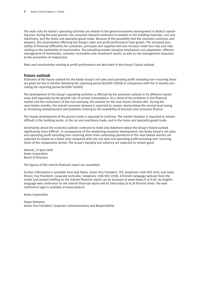The main risks for Kesko's operating activities are related to the general economic development in Kesko's operating area. During the past quarter, the consumer demand continued to weaken in the building materials, cars and machinery, and the home and speciality goods trade. Because of the possibility that the recession continues and deepens, the uncertainties affecting the Group's sales and profit performance have grown. The increased possibility of financial difficulties for customers, principals and suppliers will also increase credit loss risks and risks relating to the availability of merchandise. The prevailing market situation emphasizes cost adaptation, efficient management of inventories, customer receivables and investment assets, as well as risk management responses to the prevention of malpractice.

Risks and uncertainties relating to profit performance are described in the Group's future outlook.

#### **Future outlook**

Estimates of the future outlook for the Kesko Group's net sales and operating profit excluding non-recurring items are given for the 12 months following the reporting period (4/2009-3/2010) in comparison with the 12 months preceding the reporting period (4/2008-3/2009).

The development of the Group's operating activities is affected by the economic outlook in its different market areas and especially by the growth rate of private consumption. As a result of the problems in the financial market and the contraction of the real economy, the outlook for the near future remains dim. During the next twelve months, the overall consumer demand is expected to remain clearly below the normal level owing to increasing unemployment and problems relating to the availability of business and consumer finance.

The steady development of the grocery trade is expected to continue. The market situation is expected to remain difficult in the building sector, in the car and machinery trade, and in the home and speciality goods trade.

Uncertainty about the economic outlook continues to make any statement about the Group's future outlook significantly more difficult. In consequence of the weakening economic development, the Kesko Group's net sales and operating profit excluding non-recurring items from continuing operations in the next twelve months are expected to remain at a lower level compared with the net sales and operating profit excluding non-recurring items of the comparative period. The Group's liquidity and solvency are expected to remain good.

Helsinki, 27 April 2009 Kesko Corporation Board of Directors

The figures of this interim financial report are unaudited.

Further information is available from Arja Talma, Senior Vice President, CFO, telephone +358 1053 22113, and Jukka Erlund, Vice President, Corporate Controller, telephone +358 1053 22338. A Finnish-language webcast from the media and analyst briefing on the interim financial report can be accessed at www.kesko.fi at 11.00. An Englishlanguage web conference on the interim financial report will be held today at 14.30 (Finnish time). The web conference login is available at www.kesko.fi.

Kesko Corporation

Paavo Moilanen Senior Vice President, Corporate Communications and Responsibility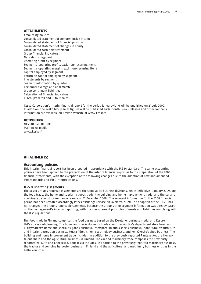#### **ATTACHMENTS**

Accounting policies Consolidated statement of comprehensive income Consolidated statement of financial position Consolidated statement of changes in equity Consolidated cash flow statement Group financial indicators Net sales by segment Operating profit by segment Segments' operating profits excl. non-recurring items Segment's operating margins excl. non-recurring items Capital employed by segment Return on capital employed by segment Investments by segment Segment information by quarter Personnel average and at 31 March Group contingent liabilities Calculation of financial indicators K-Group's retail and B-to-B sales

Kesko Corporation's interim financial report for the period January-June will be published on 24 July 2009. In addition, the Kesko Group sales figures will be published each month. News releases and other company information are available on Kesko's website at www.kesko.fi.

#### **DISTRIBUTION**

NASDAQ OMX Helsinki Main news media www.kesko.fi

#### **ATTACHMENTS:**

#### **Accounting policies**

This interim financial report has been prepared in accordance with the IAS 34 standard. The same accounting policies have been applied to the preparation of the interim financial report as to the preparation of the 2008 financial statements, with the exception of the following changes due to the adoption of new and amended IFRS standards and IFRIC interpretations.

#### **IFRS 8 Operating segments**

The Kesko Group's reportable segments are the same as its business divisions, which, effective 1 January 2009, are the food trade, the home and speciality goods trade, the building and home improvement trade, and the car and machinery trade (stock exchange release on 12 December 2008). The segment information for the 2008 financial period has been restated accordingly (stock exchange release on 26 March 2009). The adoption of the IFRS 8 has not changed the Group's reportable segments, because the Group's prior segment information was already based on the management's internal reporting, with the measurement principles of assets and liabilities complying with the IFRS regulations.

The food trade in Finland comprises the food business based on the K-retailer business model and Kespro Ltd's grocery wholesaling. The home and speciality goods trade comprises Anttila's department store business, K-citymarket's home and speciality goods business, Intersport Finland's sports business, Indoor Group's furniture and interior decoration business, Musta Pörssi's home technology business, and Kenkäkesko's shoe business. The building and home improvement trade includes, in addition to the previously reported Rautakesko, the K-maatalous chain and the agricultural business in Finland. The car and machinery trade comprises the previously reported VV-Auto and Konekesko. Konekesko includes, in addition to the previously reported machinery business, the tractor and combine harvester business in Finland and the agricultural and machinery business entities in the Baltic countries.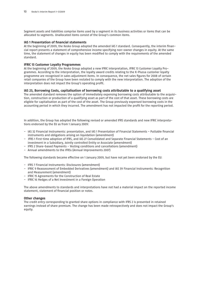Segment assets and liabilities comprise items used by a segment in its business activities or items that can be allocated to segments. Unallocated items consist of the Group's common items.

#### **IAS 1 Presentation of financial statements**

At the beginning of 2009, the Kesko Group adopted the amended IAS 1 standard. Consequently, the interim financial report presents a statement of comprehensive income specifying non-owner changes in equity. At the same time, the statement of changes in equity has been modified to comply with the requirements of the amended standard.

#### **IFRIC 13 Customer Loyalty Programmes**

At the beginning of 2009, the Kesko Group adopted a new IFRIC interpretation, IFRIC 13 Customer Loyalty Programmes. According to the interpretation, the loyalty award credits relating to the K-Plussa customer loyalty programme are recognised in sales adjustment items. In consequence, the net sales figures for 2008 of certain retail companies of the Group have been restated to comply with the new interpretation. The adoption of the interpretation does not impact the Group's operating profit.

#### **IAS 23, Borrowing Costs, capitalisation of borrowing costs attributable to a qualifying asset**

The amended standard removes the option of immediately expensing borrowing costs attributable to the acquisition, construction or production of a qualifying asset as part of the cost of that asset. These borrowing costs are eligible for capitalisation as part of the cost of the asset. The Group previously expensed borrowing costs in the accounting period in which they incurred. The amendment has not impacted the profit for the reporting period.

In addition, the Group has adopted the following revised or amended IFRS standards and new IFRIC interpretations endorsed by the EU as from 1 January 2009:

- IAS 32 Financial Instruments: presentation, and IAS 1 Presentation of Financial Statements Puttable financial instruments and obligations arising on liquidation (amendment)
- IFRS 1 First-time adoption of IFRS, and IAS 27 Consolidated and Separate Financial Statements Cost of an investment in a Subsidiary, Jointly controlled Entity or Associate (amendment)
- IFRS 2 Share-based Payments Vesting conditions and cancellations (amendment)
- Annual amendments to the IFRSs (Annual Improvements 2007)

The following standards became effective on 1 January 2009, but have not yet been endorsed by the EU:

- IFRS 7 Financial Instruments: Disclosures (amendment)
- IFRIC 9 Reassessment of Embedded Derivatives (amendment) and IAS 39 Financial Instruments: Recognition and Measurement (amendment)
- IFRIC 15 Agreements for the Construction of Real Estate
- IFRIC 16 Hedges of a Net Investment in a Foreign Operation

The above amendments to standards and interpretations have not had a material impact on the reported income statement, statement of financial position or notes.

#### **Other changes**

The credit entry corresponding to granted share options in compliance with IFRS 2 is presented in retained earnings instead of share premium. The change has been made retrospectively and does not impact the Group's equity.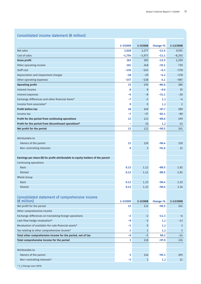| Consolidated income statement (€ million)                                               |                |                |                         |           |
|-----------------------------------------------------------------------------------------|----------------|----------------|-------------------------|-----------|
|                                                                                         | 1-3/2009       | 1-3/2008       | Change-%                | 1-12/2008 |
| Net sales                                                                               | 2,018          | 2,277          | $-11.4$                 | 9,591     |
| Cost of sales                                                                           | $-1,754$       | $-1,973$       | $-11.1$                 | $-8,293$  |
| <b>Gross profit</b>                                                                     | 263            | 305            | $-13.5$                 | 1,299     |
| Other operating income                                                                  | 161            | 248            | $-35.1$                 | 730       |
| Staff cost                                                                              | $-136$         | $-145$         | $-6.3$                  | $-578$    |
| Depreciation and impairment charges                                                     | $-28$          | $-29$          | $-4.2$                  | $-178$    |
| Other operating expenses                                                                | $-237$         | $-228$         | 4.1                     | $-987$    |
| <b>Operating profit</b>                                                                 | 23             | 150            | $-84.6$                 | 286       |
| Interest income                                                                         | 8              | 8              | $-9.0$                  | 35        |
| Interest expenses                                                                       | -6             | $-8$           | $-31.1$                 | $-30$     |
| Exchange differences and other financial items*                                         | -7             | $-2$           | $\left( \ldots \right)$ | $-4$      |
| Income from associates*                                                                 | 0              | $\overline{0}$ | $\left( \ldots \right)$ | 2         |
| Profit before tax                                                                       | 18             | 149            | $-87.7$                 | 289       |
| Income tax                                                                              | -7             | $-37$          | $-82.1$                 | $-89$     |
| Profit for the period from continuing operations                                        | 12             | 112            | $-89.6$                 | 199       |
| Profit for the period from discontinued operations*                                     | $\overline{a}$ | 10             | $\left( \ldots \right)$ | 42        |
| Net profit for the period                                                               | 12             | 122            | $-90.5$                 | 241       |
|                                                                                         |                |                |                         |           |
| Attributable to                                                                         |                |                |                         |           |
| Owners of the parent                                                                    | 11             | 120            | $-90.4$                 | 220       |
| Non-controlling interests                                                               | $\bf{0}$       | $\overline{2}$ | $-92.6$                 | 21        |
|                                                                                         |                |                |                         |           |
| Earnings per share $(\epsilon)$ for profit attributable to equity holders of the parent |                |                |                         |           |
| Continuing operations                                                                   |                |                |                         |           |
| <b>Basic</b>                                                                            | 0.12           | 1.12           | $-89.5$                 | 1.82      |
| <b>Diluted</b>                                                                          | 0.12           | 1.11           | $-89.5$                 | 1.81      |
| <b>Whole Group</b>                                                                      |                |                |                         |           |
| <b>Basic</b>                                                                            | 0.12           | 1.23           | $-90.4$                 | 2.25      |
| Diluted                                                                                 | 0.12           | 1.22           | -90.4                   | 2.24      |
|                                                                                         |                |                |                         |           |
| Consolidated statement of comprehensive income                                          |                |                |                         |           |
| $(\epsilon$ million)                                                                    | 1-3/2009       | 1-3/2008       | Change-%                | 1-12/2008 |
| Net profit for the period                                                               | 12             | 122            | $-90.5$                 | 241       |
| Other comprehensive income                                                              |                |                |                         |           |
| Exchange differences on translating foreign operations                                  | -2             | $-2$           | $-11.3$                 | $-6$      |
| Cash flow hedge revaluation*                                                            | -9             | $-3$           | $\left( \ldots \right)$ | -13       |
| Revaluation of available-for-sale financial assets*                                     | -1             | $\overline{0}$ | $\left(  \right)$       | 2         |
| Tax relating to other comprehensive income*                                             | 2              | $\mathbf{1}$   | $\left( \ldots \right)$ | 3         |
| Total other comprehensive income for the period, net of tax                             | -9             | $-5$           | 99.3                    | $-14$     |
| Total comprehensive income for the period                                               | 2              | 118            | $-97.9$                 | 226       |
|                                                                                         |                |                |                         |           |
| Attributable to                                                                         |                |                |                         |           |
| Owners of the parent                                                                    | 5              | 116            | $-95.3$                 | 205       |
| Non-controlling interests*                                                              | -3             | $\mathbf{1}$   | $\left( \right)$        | 21        |

#### \* (..) Change over 100%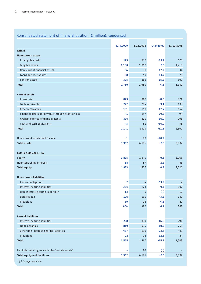## Consolidated statement of financial position (€ million), condensed

|                                                       | 31.3.2009               | 31.3.2008      | Change-% | 31.12.2008     |
|-------------------------------------------------------|-------------------------|----------------|----------|----------------|
| <b>ASSETS</b>                                         |                         |                |          |                |
| Non-current assets                                    |                         |                |          |                |
| Intangible assets                                     | 173                     | 227            | $-23.7$  | 170            |
| Tangible assets                                       | 1,180                   | 1,097          | 7.5      | 1,210          |
| Non-current financial assets                          | 34                      | 31             | 12.2     | 34             |
| Loans and receivables                                 | 68                      | 59             | 13.7     | 76             |
| Pension assets                                        | 305                     | 265            | 15.2     | 300            |
| <b>Total</b>                                          | 1,760                   | 1,680          | 4.8      | 1,789          |
| <b>Current assets</b>                                 |                         |                |          |                |
| Inventories                                           | 829                     | 907            | $-8.6$   | 871            |
| Trade receivables                                     | 722                     | 794            | $-9.1$   | 633            |
| Other receivables                                     | 131                     | 150            | $-12.4$  | 152            |
| Financial assets at fair value through profit or loss | 41                      | 197            | $-79.2$  | 94             |
| Available-for-sale financial assets                   | 374                     | 320            | 16.9     | 291            |
| Cash and cash equivalents                             | 43                      | 51             | $-14.9$  | 58             |
| <b>Total</b>                                          | 2,141                   | 2,419          | $-11.5$  | 2,100          |
| Non-current assets held for sale                      | $\mathbf{1}$            | 98             | $-98.9$  | 3              |
| <b>Total assets</b>                                   | 3,902                   | 4,196          | $-7.0$   | 3,892          |
|                                                       |                         |                |          |                |
| <b>EQUITY AND LIABILITIES</b>                         |                         |                |          |                |
| Equity                                                | 1,875                   | 1,870          | 0.3      | 1,966          |
| Non-controlling interests                             | 58                      | 57             | 2.2      | 61             |
| <b>Total equity</b>                                   | 1,933                   | 1,927          | 0.3      | 2,026          |
| <b>Non-current liabilities</b>                        |                         |                |          |                |
| Pension obligations                                   | $\overline{\mathbf{2}}$ | 4              | $-53.9$  | $\overline{2}$ |
| Interest-bearing liabilities                          | 244                     | 223            | 9.3      | 197            |
| Non-interest-bearing liabilities*                     | 13                      | $\overline{5}$ | (.)      | 12             |
| Deferred tax                                          | 126                     | 130            | $-3.2$   | 132            |
| Provisions                                            | 19                      | 18             | 4.8      | 20             |
| <b>Total</b>                                          | 404                     | 380            | 6.1      | 363            |
| <b>Current liabilities</b>                            |                         |                |          |                |
| Interest-bearing liabilities                          | 258                     | 310            | $-16.8$  | 294            |
| Trade payables                                        | 819                     | 915            | $-10.5$  | 756            |
| Other non-interest-bearing liabilities                | 467                     | 610            | $-23.6$  | 430            |
| Provisions                                            | 22                      | 12             | 82.6     | 24             |
| <b>Total</b>                                          | 1,565                   | 1,847          | $-15.3$  | 1,503          |
| Liabilities relating to available-for-sale assets*    | ۰                       | 42             | (.)      |                |
| <b>Total equity and liabilities</b>                   | 3,902                   | 4,196          | $-7.0$   | 3,892          |
| * () Change over 100%                                 |                         |                |          |                |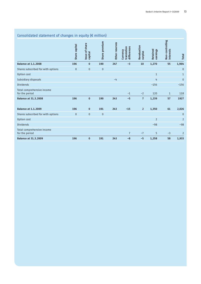## Consolidated statement of changes in equity ( $\epsilon$  million)

|                                              | Share capital | Issue of share | Share premium | Other reserves | differences<br>translation | Revaluation    |                      | Non-controlling  |                |
|----------------------------------------------|---------------|----------------|---------------|----------------|----------------------------|----------------|----------------------|------------------|----------------|
|                                              |               | capital        |               |                | Currency                   | surplus        | Retained<br>earnings | <b>interests</b> | Total          |
| <b>Balance at 1.1.2008</b>                   | 196           | $\bf{0}$       | 190           | 247            | $-3$                       | 10             | 1,270                | 55               | 1,964          |
| Shares subscribed for with options           | $\mathbf{0}$  | $\pmb{0}$      | $\mathbf 0$   |                |                            |                |                      |                  | $\overline{0}$ |
| Option cost                                  |               |                |               |                |                            |                | $\mathbf{1}$         |                  | $\mathbf{1}$   |
| Subsidiary disposals                         |               |                |               | $-4$           |                            |                | 4                    |                  | $\overline{0}$ |
| <b>Dividends</b>                             |               |                |               |                |                            |                | $-156$               |                  | $-156$         |
| Total comprehensive income<br>for the period |               |                |               |                | $-1$                       | $-2$           | 120                  | $\mathbf{1}$     | 118            |
| <b>Balance at 31.3.2008</b>                  | 196           | $\bf{0}$       | 190           | 243            | $-5$                       | $\overline{7}$ | 1,239                | 57               | 1927           |
| <b>Balance at 1.1.2009</b>                   | 196           | $\bf{0}$       | 191           | 243            | $-15$                      | $\overline{2}$ | 1,350                | 61               | 2,026          |
| Shares subscribed for with options           | $\mathbf{0}$  | $\mathbf 0$    | $\bf{0}$      |                |                            |                |                      |                  | $\overline{0}$ |
| Option cost                                  |               |                |               |                |                            |                | $\overline{2}$       |                  | $\overline{2}$ |
| <b>Dividends</b>                             |               |                |               |                |                            |                | $-98$                |                  | $-98$          |
| Total comprehensive income<br>for the period |               |                |               |                | $\overline{7}$             | $-7$           | 5                    | $-3$             | $\overline{2}$ |
| <b>Balance at 31.3.2009</b>                  | 196           | $\bf{0}$       | 191           | 243            | $-8$                       | $-5$           | 1,258                | 58               | 1,933          |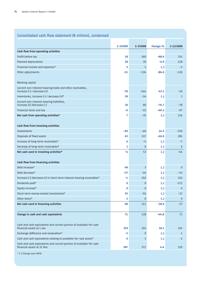## Consolidated cash flow statement (€ million), condensed

|                                                                                                    | 1-3/2009 | 1-3/2008       |                         | 1-12/2008      |
|----------------------------------------------------------------------------------------------------|----------|----------------|-------------------------|----------------|
| Cash flow from operating activities                                                                |          |                | Change-%                |                |
| Profit before tax                                                                                  | 18       | 160            | $-88.6$                 | 331            |
| Planned depreciation                                                                               | 28       | 30             | $-6.9$                  | 118            |
| Financial income and expenses*                                                                     | 5        | $\mathbf{1}$   | $\left( \ldots \right)$ | $-1$           |
| Other adjustments                                                                                  | -21      | $-134$         | $-84.0$                 | $-130$         |
|                                                                                                    |          |                |                         |                |
| <b>Working capital</b>                                                                             |          |                |                         |                |
| Current non-interest-bearing trade and other receivables,<br>increase $(-)$ / decrease $(+)$       | $-76$    | $-144$         | $-47.2$                 | $-10$          |
| Inventories, increase $(-)$ / decrease $(+)^*$                                                     | 39       | $-14$          | $\left( \ldots \right)$ | 2              |
| Current non-interest-bearing liabilities,<br>increase $(+)$ /decrease $(-)$                        | 20       | 80             | $-74.7$                 | $-78$          |
| Financial items and tax                                                                            | -6       | $-15$          | $-60.2$                 | $-97$          |
| Net cash from operating activities*                                                                | 7        | $-35$          | $\left( \ldots \right)$ | 134            |
|                                                                                                    |          |                |                         |                |
| Cash flow from investing activities                                                                |          |                |                         |                |
| Investments                                                                                        | -69      | $-60$          | 14.5                    | $-320$         |
| Disposals of fixed assets                                                                          | 63       | 117            | $-46.0$                 | 281            |
| Increase of long-term receivables*                                                                 | 0        | $-4$           | $\left( \ldots \right)$ | $-7$           |
| Decrease of long-term receivables*                                                                 | 2        | $\mathbf{0}$   | $\left(  \right)$       | $\Omega$       |
| Net cash used in investing activities*                                                             | -4       | 53             | $\left( \ldots \right)$ | $-46$          |
|                                                                                                    |          |                |                         |                |
| Cash flow from financing activities                                                                |          |                |                         |                |
| Debt increase*                                                                                     | 48       | 3              | $\left( \ldots \right)$ | $\overline{0}$ |
| Debt decrease*                                                                                     | -37      | $-16$          | $\left( \ldots \right)$ | $-53$          |
| Increase (-) /decrease (+) in short-term interest-bearing receivables*                             | -1       | 216            | $\left( \ldots \right)$ | 216            |
| Dividends paid*                                                                                    | 0        | $\mathbf{0}$   | $\left( \ldots \right)$ | $-172$         |
| Equity increase*                                                                                   | 0        | $\mathbf{0}$   | (.)                     | $\overline{0}$ |
| Short-term money market investments*                                                               | 55       | $-91$          | (.)                     | $-17$          |
| Other items*                                                                                       | 3        | $\mathbf{0}$   | $\left( \ldots \right)$ | 9              |
| Net cash used in financing activities                                                              | 68       | 111            | $-38.6$                 | $-17$          |
| Change in cash and cash equivalents                                                                | 71       | 128            | $-44.8$                 | 71             |
|                                                                                                    |          |                |                         |                |
| Cash and cash equivalents and current portion of available-for-sale<br>financial assets at 1 Jan.  | 319      | 245            | 30.1                    | 245            |
| Exchange difference and revaluation*                                                               | -3       | $\overline{0}$ | $\left( \ldots \right)$ | $\mathbf{1}$   |
| Cash and cash equivalents relating to available-for-sale assets*                                   | 0        | 3              | $\left( \right)$        | $-2$           |
| Cash and cash equivalents and current portion of available-for-sale<br>financial assets at 31 Mar. | 387      | 371            | 4.4                     | 319            |
|                                                                                                    |          |                |                         |                |

\* (..) Change over 100%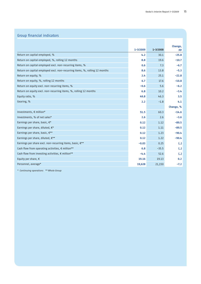| <b>Group financial indicators</b>                                          |          |          |                         |
|----------------------------------------------------------------------------|----------|----------|-------------------------|
|                                                                            |          |          |                         |
|                                                                            |          |          | Change,                 |
|                                                                            | 1-3/2009 | 1-3/2008 | pp                      |
| Return on capital employed, %                                              | 4.2      | 30.1     | $-25.8$                 |
| Return on capital employed, %, rolling 12 months                           | 8.8      | 19.6     | $-10.7$                 |
| Return on capital employed excl. non-recurring items, %                    | 0.6      | 7.3      | $-6.7$                  |
| Return on capital employed excl. non-recurring items, %, rolling 12 months | 8.6      | 13.8     | $-5.3$                  |
| Return on equity, %                                                        | 2.4      | 25.1     | $-22.8$                 |
| Return on equity, %, rolling 12 months                                     | 6.7      | 17.6     | $-10.8$                 |
| Return on equity excl. non-recurring items, %                              | $-0.6$   | 5.6      | $-6.2$                  |
| Return on equity excl. non-recurring items, %, rolling 12 months           | 6.8      | 10.2     | $-3.4$                  |
| Equity ratio, %                                                            | 49.8     | 46.3     | 3.5                     |
| Gearing, %                                                                 | 2.2      | $-1.8$   | 4.1                     |
|                                                                            |          |          | Change, %               |
| Investments, € million*                                                    | 51.5     | 60.3     | $-14.6$                 |
| Investments, % of net sales*                                               | 2.6      | 2.6      | $-3.6$                  |
| Earnings per share, basic, €*                                              | 0.12     | 1.12     | $-89.5$                 |
| Earnings per share, diluted, €*                                            | 0.12     | 1.11     | $-89.5$                 |
| Earnings per share, basic, €**                                             | 0.12     | 1.23     | $-90.4$                 |
| Earnings per share, diluted, €**                                           | 0.12     | 1.22     | $-90.4$                 |
| Earnings per share excl. non-recurring items, basic, €**                   | $-0.03$  | 0.25     | $\left( \ldots \right)$ |
| Cash flow from operating activities, € million**                           | 6.8      | $-35.5$  | $\left( \ldots \right)$ |
| Cash flow from investing activities, € million**                           | $-4.4$   | 52.6     | $\left($ )              |
| Equity per share, $\epsilon$                                               | 19.16    | 19.13    | 0.2                     |
| Personnel, average*                                                        | 19,628   | 21,150   | $-7.2$                  |

\* Continuing operations \*\* Whole Group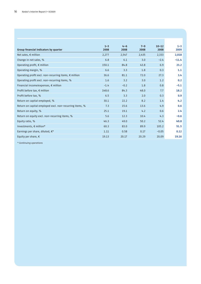|                                                                | $1 - 3$ | $4 - 6$ | $7 - 9$ | $10 - 12$ | $1 - 3$ |
|----------------------------------------------------------------|---------|---------|---------|-----------|---------|
| <b>Group financial indicators by quarter</b>                   | 2008    | 2008    | 2008    | 2008      | 2009    |
| Net sales, $\notin$ million                                    | 2,277   | 2,547   | 2,435   | 2,333     | 2,018   |
| Change in net sales, %                                         | 6.8     | 6.1     | 3.0     | $-2.4$    | $-11.4$ |
| Operating profit, $\epsilon$ million                           | 150.1   | 84.8    | 43.8    | 6.9       | 23.2    |
| Operating margin, %                                            | 6.6     | 3.3     | 1.8     | 0.3       | 1,1     |
| Operating profit excl. non-recurring items, $\epsilon$ million | 36.6    | 81.1    | 72.0    | 27.3      | 3.4     |
| Operating profit excl. non-recurring items, %                  | 1.6     | 3.2     | 3.0     | 1.2       | 0.2     |
| Financial income/expenses, € million                           | $-1.4$  | $-0.2$  | 1.8     | 0.8       | $-5.1$  |
| Profit before tax, $€$ million                                 | 148.6   | 84.3    | 48.0    | 7.7       | 18.2    |
| Profit before tax, %                                           | 6.5     | 3.3     | 2.0     | 0.3       | 0.9     |
| Return on capital employed, %                                  | 30.1    | 22.2    | 8.2     | 1.4       | 4.2     |
| Return on capital employed excl. non-recurring items, %        | 7.3     | 15.6    | 13.6    | 4.9       | 0.6     |
| Return on equity, %                                            | 25.1    | 19.1    | 4.2     | 0.6       | 2.4     |
| Return on equity excl. non-recurring items, %                  | 5.6     | 12.3    | 10.4    | 4.3       | $-0.6$  |
| Equity ratio, %                                                | 46.3    | 49.0    | 50.2    | 52.4      | 49.8    |
| Investments, $\epsilon$ million*                               | 60.3    | 83.0    | 89.9    | 105.2     | 51.5    |
| Earnings per share, diluted, €*                                | 1.11    | 0.58    | 0.17    | $-0.05$   | 0.12    |
| Equity per share, $\epsilon$                                   | 19.13   | 20.17   | 20.29   | 20.09     | 19.16   |
|                                                                |         |         |         |           |         |

\* Continuing operations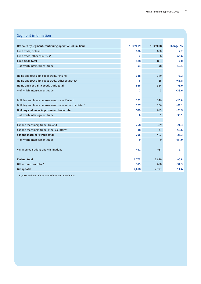## Segment information

| Net sales by segment, continuing operations ( $\epsilon$ million) | $1 - 3/2009$   | $1 - 3/2008$ | Change, % |
|-------------------------------------------------------------------|----------------|--------------|-----------|
| Food trade, Finland                                               | 886            | 850          | 4.2       |
| Food trade, other countries*                                      | $\overline{2}$ | 4            | $-45.6$   |
| <b>Food trade total</b>                                           | 888            | 853          | 4.0       |
| - of which intersegment trade                                     | 41             | 48           | $-14.1$   |
|                                                                   |                |              |           |
| Home and speciality goods trade, Finland                          | 338            | 349          | $-3.2$    |
| Home and speciality goods trade, other countries*                 | 8              | 15           | $-46.8$   |
| Home and speciality goods trade total                             | 346            | 364          | $-5.0$    |
| - of which intersegment trade                                     | $\overline{2}$ | 3            | $-38.6$   |
| Building and home improvement trade, Finland                      | 262            | 329          | $-20.4$   |
| Building and home improvement trade, other countries*             | 267            | 366          | $-27.1$   |
| Building and home improvement trade total                         | 529            | 695          | $-23.9$   |
| - of which intersegment trade                                     | 0              | $\mathbf{1}$ | $-30.1$   |
| Car and machinery trade, Finland                                  | 258            | 329          | $-21.3$   |
| Car and machinery trade, other countries*                         | 38             | 73           | $-48.6$   |
| Car and machinery trade total                                     | 296            | 402          | $-26.3$   |
|                                                                   | 0              |              | $-84.9$   |
| - of which intersegment trade                                     |                | $\mathbf{0}$ |           |
| Common operations and eliminations                                | -41            | $-37$        | 9.7       |
| <b>Finland total</b>                                              | 1,703          | 1,819        | $-6.4$    |
| 0ther countries total*                                            | 315            | 458          | $-31.3$   |
| <b>Group total</b>                                                | 2,018          | 2,277        | $-11.4$   |

\* Exports and net sales in countries other than Finland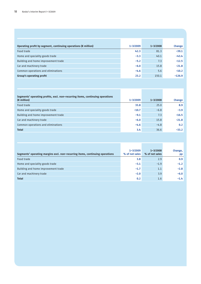| Operating profit by segment, continuing operations ( $\epsilon$ million) | $1 - 3/2009$ | $1 - 3/2008$ | Change   |
|--------------------------------------------------------------------------|--------------|--------------|----------|
| Food trade                                                               | 42.3         | 81.3         | $-39.1$  |
| Home and speciality goods trade                                          | $-3.3$       | 40.1         | $-43.4$  |
| Building and home improvement trade                                      | $-5.2$       | 7.3          | $-12.5$  |
| Car and machinery trade                                                  | $-6.0$       | 15.8         | $-21.8$  |
| Common operations and eliminations                                       | $-4.6$       | 5.6          | $-10.2$  |
| Group's operating profit                                                 | 23.2         | 150.1        | $-126.9$ |

| Segments' operating profits, excl. non-recurring items, continuing operations |              |              |         |
|-------------------------------------------------------------------------------|--------------|--------------|---------|
| $(\epsilon$ million)                                                          | $1 - 3/2009$ | $1 - 3/2008$ | Change  |
| Food trade                                                                    | 33.8         | 25.0         | 8.9     |
| Home and speciality goods trade                                               | $-10.7$      | $-6.8$       | $-3.9$  |
| Building and home improvement trade                                           | $-9.1$       | 7.3          | $-16.5$ |
| Car and machinery trade                                                       | $-6.0$       | 15.8         | $-21.8$ |
| Common operations and eliminations                                            | $-4.6$       | $-4.8$       | 0.2     |
| <b>Total</b>                                                                  | 3.4          | 36.6         | $-33.2$ |

т

| Segments' operating margins excl. non-recurring items, continuing operations | $1 - 3/2009$<br>% of net sales | $1 - 3/2008$<br>% of net sales | Change,<br>pp |
|------------------------------------------------------------------------------|--------------------------------|--------------------------------|---------------|
| Food trade                                                                   | 3.8                            | 2.9                            | 0.9           |
| Home and speciality goods trade                                              | $-3.1$                         | $-1.9$                         | $-1.2$        |
| Building and home improvement trade                                          | $-1.7$                         | 1.1                            | $-2.8$        |
| Car and machinery trade                                                      | $-2.0$                         | 3.9                            | $-6.0$        |
| <b>Total</b>                                                                 | 0.2                            | 1.6                            | $-1.4$        |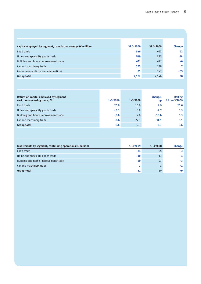| Capital employed by segment, cumulative average (€ million) | 31.3.2009 | 31.3.2008 | Change |
|-------------------------------------------------------------|-----------|-----------|--------|
| Food trade                                                  | 646       | 623       | 22     |
| Home and speciality goods trade                             | 519       | 485       | 34     |
| Building and home improvement trade                         | 651       | 611       | 40     |
| Car and machinery trade                                     | 285       | 278       |        |
| Common operations and eliminations                          | 81        | 147       | -65    |
| Group total                                                 | 2,182     | 2,144     | 38     |

| Return on capital employed by segment<br>excl. non-recurring items, % | $1 - 3/2009$ | $1 - 3/2008$ | Change,<br>pp | <b>Rolling</b><br>12 mo 3/2009 |
|-----------------------------------------------------------------------|--------------|--------------|---------------|--------------------------------|
| Food trade                                                            | 20.9         | 16.0         | 4.9           | 20.6                           |
| Home and speciality goods trade                                       | $-8.3$       | $-5.6$       | $-2.7$        | 5.3                            |
| Building and home improvement trade                                   | $-5.6$       | 4.8          | $-10.4$       | 6.3                            |
| Car and machinery trade                                               | $-8.4$       | 22.7         | $-31.1$       | 3.1                            |
| <b>Group total</b>                                                    | 0.6          | 7.3          | $-6.7$        | 8.6                            |

| Investments by segment, continuing operations ( $\epsilon$ million) | 1-3/2009 | $1 - 3/2008$ | Change |
|---------------------------------------------------------------------|----------|--------------|--------|
| Food trade                                                          | 21       | 24           | -3     |
| Home and speciality goods trade                                     | 10       |              |        |
| Building and home improvement trade                                 | 20       | 23           | -3     |
| Car and machinery trade                                             |          |              |        |
| Group total                                                         | 51       | 60           |        |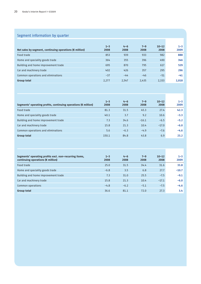## Segment information by quarter

| Net sales by segment, continuing operations ( $\epsilon$ million) | $1 - 3$<br>2008 | $4 - 6$<br>2008 | $7 - 9$<br>2008 | $10 - 12$<br>2008 | $1 - 3$<br>2009 |
|-------------------------------------------------------------------|-----------------|-----------------|-----------------|-------------------|-----------------|
| Food trade                                                        | 853             | 939             | 933             | 982               | 888             |
| Home and speciality goods trade                                   | 364             | 355             | 396             | 490               | 346             |
| Building and home improvement trade                               | 695             | 870             | 795             | 617               | 529             |
| Car and machinery trade                                           | 402             | 426             | 357             | 295               | 296             |
| Common operations and eliminations                                | $-37$           | $-44$           | $-46$           | $-51$             | $-41$           |
| Group total                                                       | 2,277           | 2.547           | 2,435           | 2,333             | 2,018           |

| Segments' operating profits, continuing operations ( $\epsilon$ million) | $1 - 3$<br>2008 | $4 - 6$<br>2008 | $7 - 9$<br>2008 | $10 - 12$<br>2008 | $1 - 3$<br>2009 |
|--------------------------------------------------------------------------|-----------------|-----------------|-----------------|-------------------|-----------------|
| Food trade                                                               | 81.3            | 31.5            | 45.3            | 27.4              | 42.3            |
| Home and speciality goods trade                                          | 40.1            | 3.7             | 9.2             | 10.6              | $-3.3$          |
| Building and home improvement trade                                      | 7.3             | 34.6            | $-16.1$         | $-6.5$            | $-5.2$          |
| Car and machinery trade                                                  | 15.8            | 21.3            | 10.4            | $-17.0$           | $-6.0$          |
| Common operations and eliminations                                       | 5.6             | $-6.3$          | $-4.9$          | $-7.6$            | $-4.6$          |
| Group total                                                              | 150.1           | 84.8            | 43.8            | 6.9               | 23.2            |

| Segments' operating profits excl. non-recurring items,<br>continuing operations ( $\notin$ million) | $1 - 3$<br>2008 | $4 - 6$<br>2008 | $7 - 9$<br>2008 | $10 - 12$<br>2008 | $1 - 3$<br>2009 |
|-----------------------------------------------------------------------------------------------------|-----------------|-----------------|-----------------|-------------------|-----------------|
| Food trade                                                                                          | 25.0            | 31.5            | 34.4            | 31.6              | 33.8            |
| Home and speciality goods trade                                                                     | $-6.8$          | 3.5             | 6.8             | 27.7              | $-10.7$         |
| Building and home improvement trade                                                                 | 7.3             | 31.0            | 25.5            | $-7.5$            | $-9.1$          |
| Car and machinery trade                                                                             | 15.8            | 21.3            | 10.4            | $-17.1$           | $-6.0$          |
| Common operations                                                                                   | $-4.8$          | $-6.2$          | $-5.1$          | $-7.5$            | $-4.6$          |
| Group total                                                                                         | 36.6            | 81.1            | 72.0            | 27.3              | 3.4             |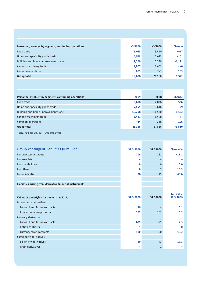**Contract Contract** 

| Personnel, average by segment, continuing operations | $1 - 3/2009$ | $1 - 3/2008$ | Change   |
|------------------------------------------------------|--------------|--------------|----------|
| Food trade                                           | 3,033        | 3,450        | $-417$   |
| Home and speciality goods trade                      | 5,574        | 5,675        | $-101$   |
| Building and home improvement trade                  | 9,209        | 10,330       | $-1,121$ |
| Car and machinery trade                              | 1,407        | 1,453        | $-46$    |
| Common operations                                    | 405          | 242          | 163      |
| <b>Group total</b>                                   | 19,628       | 21,150       | $-1,522$ |

| Personnel at 31.3.* by segment, continuing operations | 2009   | 2008   | Change   |
|-------------------------------------------------------|--------|--------|----------|
| Food trade                                            | 3,498  | 4,034  | -536     |
| Home and speciality goods trade                       | 7,645  | 7,616  | 29       |
| Building and home improvement trade                   | 10,298 | 11,430 | $-1,132$ |
| Car and machinery trade                               | 1,441  | 1,508  | $-67$    |
| Common operations                                     | 444    | 248    | 196      |
| <b>Group total</b>                                    | 23,326 | 24,836 | $-1,510$ |
|                                                       |        |        |          |

\* Total number incl. part-time employees

| Group contingent liabilities ( $\notin$ million)          | 31.3.2009 | 31.32008       | Change,%          |
|-----------------------------------------------------------|-----------|----------------|-------------------|
| For own commitments                                       | 206       | 231            | $-11.1$           |
| For associates                                            | ۰         |                |                   |
| For shareholders                                          | 0         | $\mathbf{0}$   | 0.0               |
| For others                                                | 8         | $\overline{7}$ | 18.3              |
| Lease liabilities                                         | 24        | 15             | 63.4              |
|                                                           |           |                |                   |
| Liabilities arising from derivative financial instruments |           |                |                   |
|                                                           |           |                |                   |
|                                                           |           |                | <b>Fair value</b> |
| Values of underlying instruments at 31.3.                 | 31.3.2009 | 31.32008       | 31.3.2009         |
| Interest rate derivatives                                 |           |                |                   |
| Forward and future contracts                              | 19        |                | 0.1               |
| Interest rate swap contracts                              | 205       | 203            | 6.2               |
| Currency derivatives                                      |           |                |                   |
| Forward and future contracts                              | 439       | 329            | $-2.3$            |
| Option contracts                                          | 1         |                | $\bf{0}$          |
| Currency swap contracts                                   | 100       | 100            | $-10.2$           |
| Commodity derivatives                                     |           |                |                   |
| <b>Electricity derivatives</b>                            | 39        | 42             | $-15.3$           |
| Grain derivatives                                         |           | $\mathbf{1}$   |                   |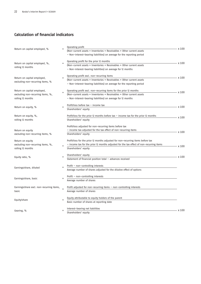## **Calculation of financial indicators**

| Return on capital employed, %                                                         | $=$      | Operating profit<br>(Non-current assets + Inventories + Receivables + Other current assets                                                                                                                   | x 100     |
|---------------------------------------------------------------------------------------|----------|--------------------------------------------------------------------------------------------------------------------------------------------------------------------------------------------------------------|-----------|
|                                                                                       |          | - Non-interest-bearing liabilities) on average for the reporting period                                                                                                                                      |           |
| Return on capital employed, %,<br>rolling 12 months                                   |          | Operating profit for the prior 12 months<br>(Non-current assets + Inventories + Receivables + Other current assets<br>- Non-interest-bearing liabilities) on average for 12 months                           | x 100     |
| Return on capital employed,<br>excluding non-recurring items, %                       | $=$      | Operating profit excl. non-recurring items<br>(Non-current assets + Inventories + Receivables + Other current assets<br>- Non-interest-bearing liabilities) on average for the reporting period              | x 100     |
| Return on capital employed,<br>excluding non-recurring items, %,<br>rolling 12 months |          | Operating profit excl. non-recurring items for the prior 12 months<br>(Non-current assets + Inventories + Receivables + Other current assets<br>- Non-interest-bearing liabilities) on average for 12 months | x 100     |
| Return on equity, %                                                                   | $=$      | Profit/loss before tax - income tax<br>Shareholders' equity                                                                                                                                                  | - x 100   |
| Return on equity, %,<br>rolling 12 months                                             |          | Profit/loss for the prior 12 months before tax $-$ income tax for the prior 12 months<br>Shareholders' equity                                                                                                | x 100     |
| Return on equity<br>excluding non-recurring items, %                                  |          | Profit/loss adjusted for non-recurring items before tax<br>- income tax adjusted for the tax effect of non-recurring items<br>Shareholders' equity                                                           | x 100     |
| Return on equity<br>excluding non-recurring items, %,<br>rolling 12 months            |          | Profit/loss for the prior 12 months adjusted for non-recurring items before tax<br>- income tax for the prior 12 months adjusted for the tax effect of non-recurring items<br>Shareholders' equity           | x 100     |
| Equity ratio, %                                                                       | $\equiv$ | Shareholders' equity<br>Statement of financial position total - advances received                                                                                                                            | $- x 100$ |
| Earnings/share, diluted                                                               |          | Profit - non-controlling interests<br>Average number of shares adjusted for the dilutive effect of options                                                                                                   |           |
| Earnings/share, basic                                                                 | $=$      | Profit - non-controlling interests<br>Average number of shares                                                                                                                                               |           |
| Earnings/share excl. non-recurring items,<br>basic                                    |          | Profit adjusted for non-recurring items - non-controlling interests<br>Average number of shares                                                                                                              |           |
| Equity/share                                                                          | $=$      | Equity attributable to equity holders of the parent<br>Basic number of shares at reporting date                                                                                                              |           |
| Gearing, %                                                                            |          | Interest-bearing net liabilities<br>Shareholders' equity                                                                                                                                                     | $- x 100$ |